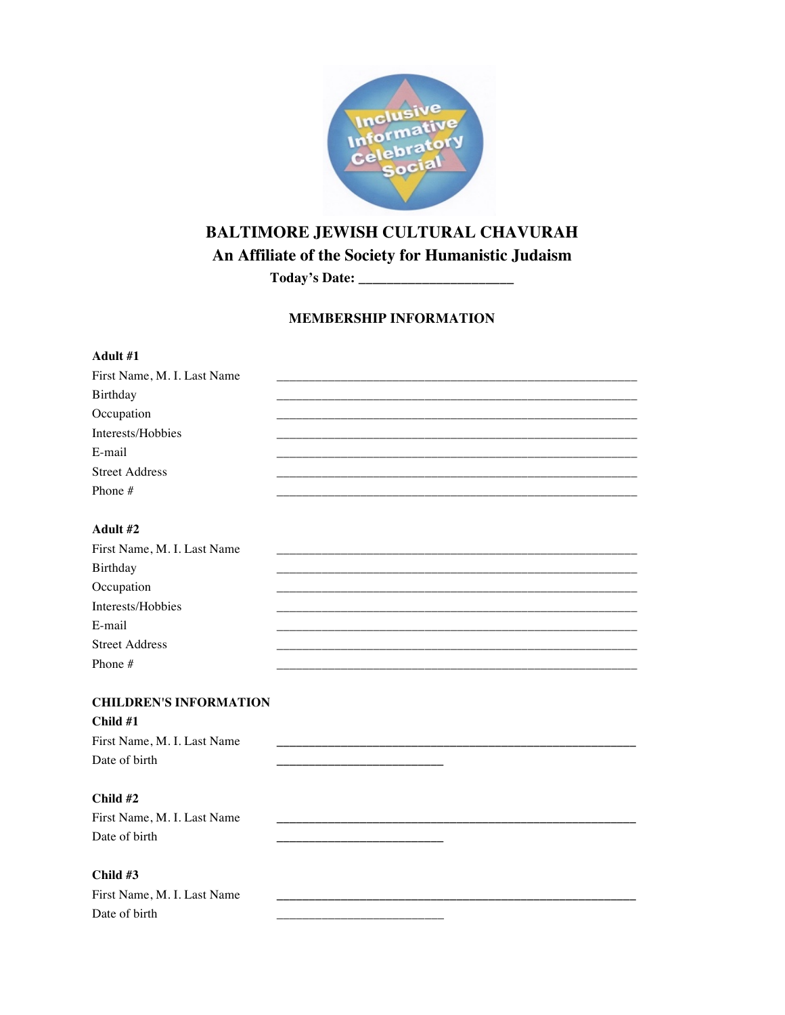

# BALTIMORE JEWISH CULTURAL CHAVURAH

An Affiliate of the Society for Humanistic Judaism

## **MEMBERSHIP INFORMATION**

| Adult #1                      |  |  |
|-------------------------------|--|--|
| First Name, M. I. Last Name   |  |  |
| Birthday                      |  |  |
| Occupation                    |  |  |
| Interests/Hobbies             |  |  |
| E-mail                        |  |  |
| <b>Street Address</b>         |  |  |
| Phone #                       |  |  |
|                               |  |  |
| Adult #2                      |  |  |
| First Name, M. I. Last Name   |  |  |
| Birthday                      |  |  |
| Occupation                    |  |  |
| Interests/Hobbies             |  |  |
| E-mail                        |  |  |
| <b>Street Address</b>         |  |  |
| Phone #                       |  |  |
|                               |  |  |
| <b>CHILDREN'S INFORMATION</b> |  |  |
| Child #1                      |  |  |
| First Name, M. I. Last Name   |  |  |
| Date of birth                 |  |  |
|                               |  |  |
| Child #2                      |  |  |
| First Name, M. I. Last Name   |  |  |
| Date of birth                 |  |  |
|                               |  |  |
| Child #3                      |  |  |
| First Name, M. I. Last Name   |  |  |
| Date of birth                 |  |  |